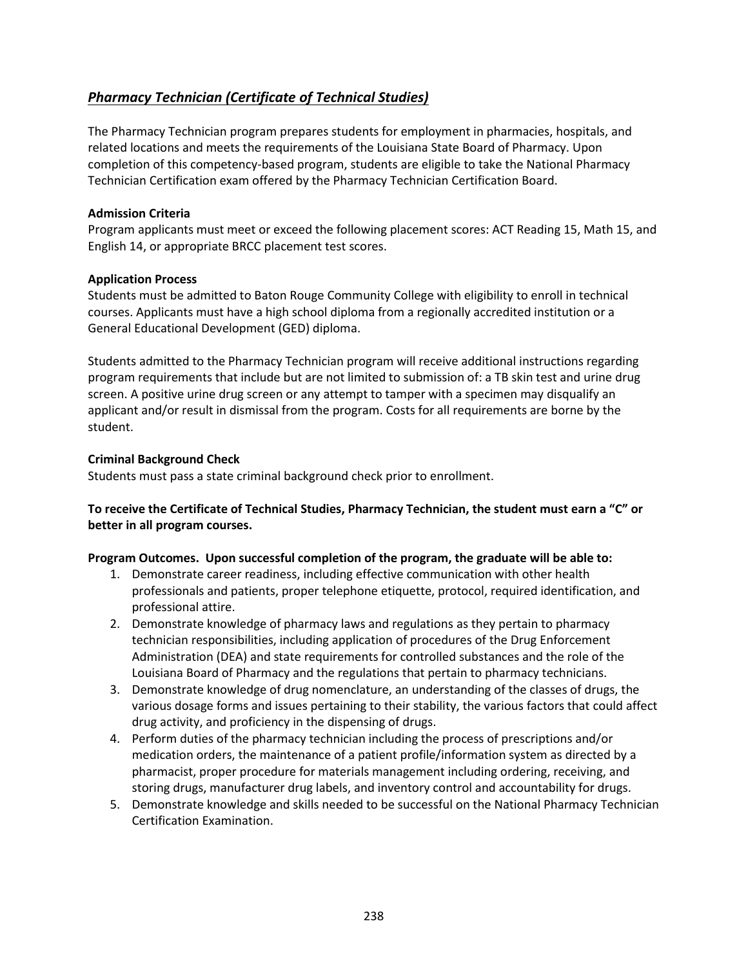# <span id="page-0-0"></span>*[Pharmacy Technician \(Certificate of Technical Studies\)](#page-0-0)*

The Pharmacy Technician program prepares students for employment in pharmacies, hospitals, and related locations and meets the requirements of the Louisiana State Board of Pharmacy. Upon completion of this competency-based program, students are eligible to take the National Pharmacy Technician Certification exam offered by the Pharmacy Technician Certification Board.

#### **Admission Criteria**

Program applicants must meet or exceed the following placement scores: ACT Reading 15, Math 15, and English 14, or appropriate BRCC placement test scores.

## **Application Process**

Students must be admitted to Baton Rouge Community College with eligibility to enroll in technical courses. Applicants must have a high school diploma from a regionally accredited institution or a General Educational Development (GED) diploma.

Students admitted to the Pharmacy Technician program will receive additional instructions regarding program requirements that include but are not limited to submission of: a TB skin test and urine drug screen. A positive urine drug screen or any attempt to tamper with a specimen may disqualify an applicant and/or result in dismissal from the program. Costs for all requirements are borne by the student.

## **Criminal Background Check**

Students must pass a state criminal background check prior to enrollment.

**To receive the Certificate of Technical Studies, Pharmacy Technician, the student must earn a "C" or better in all program courses.**

#### **Program Outcomes. Upon successful completion of the program, the graduate will be able to:**

- 1. Demonstrate career readiness, including effective communication with other health professionals and patients, proper telephone etiquette, protocol, required identification, and professional attire.
- 2. Demonstrate knowledge of pharmacy laws and regulations as they pertain to pharmacy technician responsibilities, including application of procedures of the Drug Enforcement Administration (DEA) and state requirements for controlled substances and the role of the Louisiana Board of Pharmacy and the regulations that pertain to pharmacy technicians.
- 3. Demonstrate knowledge of drug nomenclature, an understanding of the classes of drugs, the various dosage forms and issues pertaining to their stability, the various factors that could affect drug activity, and proficiency in the dispensing of drugs.
- 4. Perform duties of the pharmacy technician including the process of prescriptions and/or medication orders, the maintenance of a patient profile/information system as directed by a pharmacist, proper procedure for materials management including ordering, receiving, and storing drugs, manufacturer drug labels, and inventory control and accountability for drugs.
- 5. Demonstrate knowledge and skills needed to be successful on the National Pharmacy Technician Certification Examination.